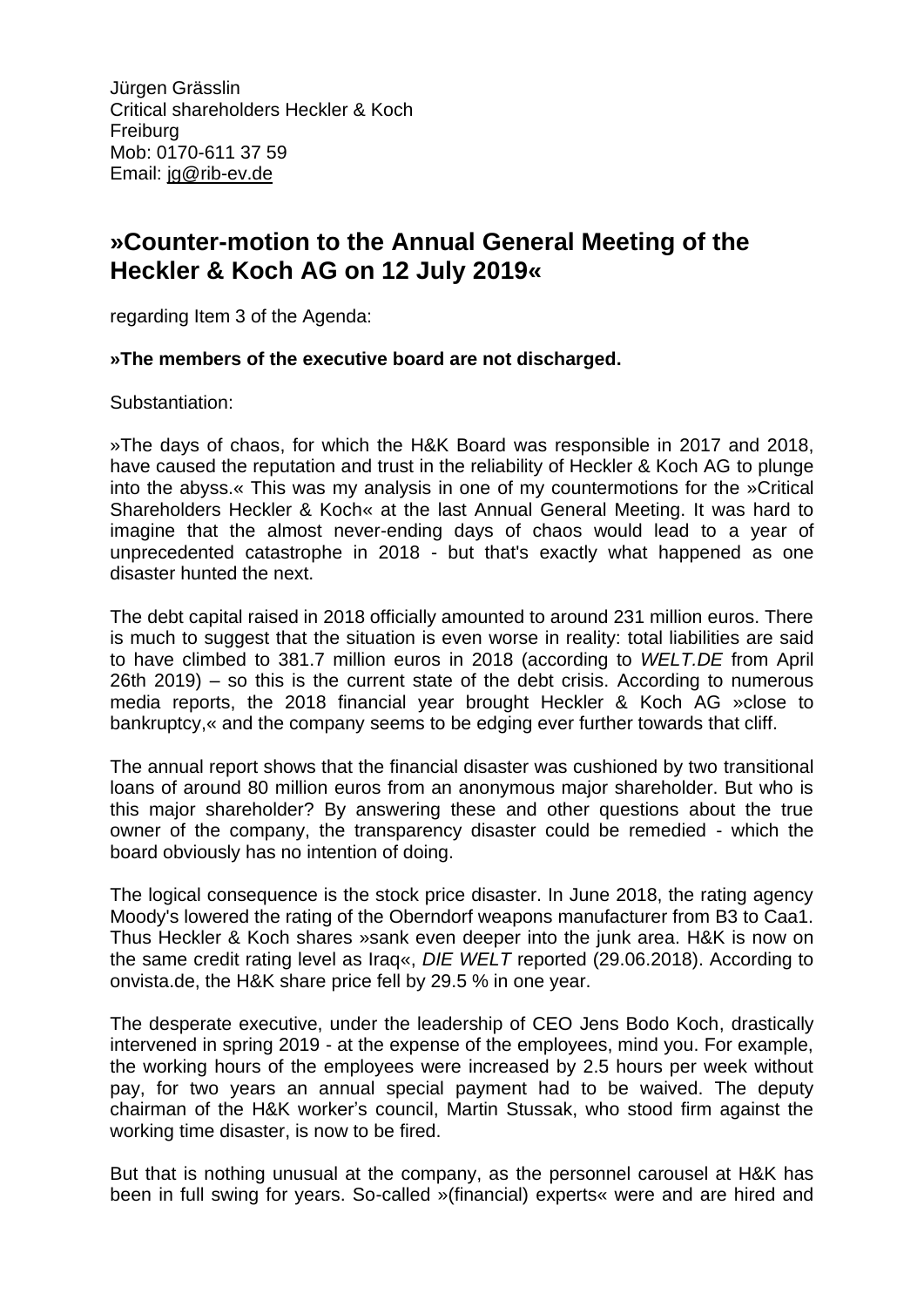Jürgen Grässlin Critical shareholders Heckler & Koch Freiburg Mob: 0170-611 37 59 Email: jg@rib-ev.de

## **»Counter-motion to the Annual General Meeting of the Heckler & Koch AG on 12 July 2019«**

regarding Item 3 of the Agenda:

## **»The members of the executive board are not discharged.**

Substantiation:

»The days of chaos, for which the H&K Board was responsible in 2017 and 2018, have caused the reputation and trust in the reliability of Heckler & Koch AG to plunge into the abyss.« This was my analysis in one of my countermotions for the »Critical Shareholders Heckler & Koch« at the last Annual General Meeting. It was hard to imagine that the almost never-ending days of chaos would lead to a year of unprecedented catastrophe in 2018 - but that's exactly what happened as one disaster hunted the next.

The debt capital raised in 2018 officially amounted to around 231 million euros. There is much to suggest that the situation is even worse in reality: total liabilities are said to have climbed to 381.7 million euros in 2018 (according to *WELT.DE* from April 26th 2019) – so this is the current state of the debt crisis. According to numerous media reports, the 2018 financial year brought Heckler & Koch AG »close to bankruptcy,« and the company seems to be edging ever further towards that cliff.

The annual report shows that the financial disaster was cushioned by two transitional loans of around 80 million euros from an anonymous major shareholder. But who is this major shareholder? By answering these and other questions about the true owner of the company, the transparency disaster could be remedied - which the board obviously has no intention of doing.

The logical consequence is the stock price disaster. In June 2018, the rating agency Moody's lowered the rating of the Oberndorf weapons manufacturer from B3 to Caa1. Thus Heckler & Koch shares »sank even deeper into the junk area. H&K is now on the same credit rating level as Iraq«, *DIE WELT* reported (29.06.2018). According to onvista.de, the H&K share price fell by 29.5 % in one year.

The desperate executive, under the leadership of CEO Jens Bodo Koch, drastically intervened in spring 2019 - at the expense of the employees, mind you. For example, the working hours of the employees were increased by 2.5 hours per week without pay, for two years an annual special payment had to be waived. The deputy chairman of the H&K worker's council, Martin Stussak, who stood firm against the working time disaster, is now to be fired.

But that is nothing unusual at the company, as the personnel carousel at H&K has been in full swing for years. So-called »(financial) experts« were and are hired and